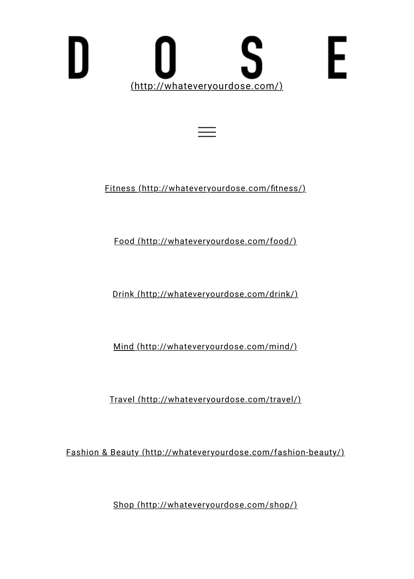## ς E [\(http://whateveryourdose.com/\)](http://whateveryourdose.com/)

Fitness (http://whateveryourdose.com/fitness/)

[Food \(http://whateveryourdose.com/food/\)](http://whateveryourdose.com/food/)

[Drink \(http://whateveryourdose.com/drink/\)](http://whateveryourdose.com/drink/)

[Mind \(http://whateveryourdose.com/mind/\)](http://whateveryourdose.com/mind/)

[Travel \(http://whateveryourdose.com/travel/\)](http://whateveryourdose.com/travel/)

[Fashion & Beauty \(http://whateveryourdose.com/fashion-beauty/\)](http://whateveryourdose.com/fashion-beauty/)

[Shop \(http://whateveryourdose.com/shop/\)](http://whateveryourdose.com/shop/)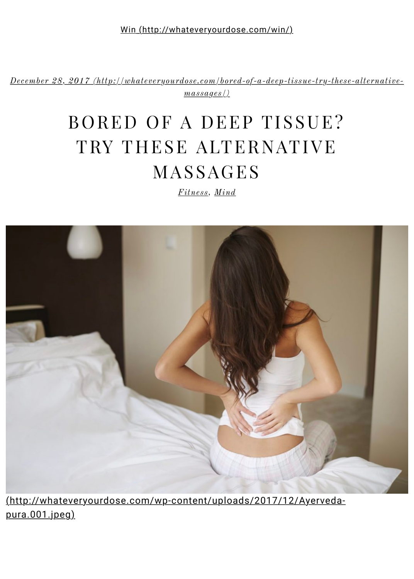[Win \(http://whateveryourdose.com/win/\)](http://whateveryourdose.com/win/)

*[December 28, 2017 \(http://whateveryourdose.com/bored-of-a-deep-tissue-try-these-alternative](http://whateveryourdose.com/bored-of-a-deep-tissue-try-these-alternative-massages/)massages/)*

# BORED OF A DEEP TISSUE? TRY THESE ALTERNATIVE MASSAGES

*[Fitness](http://whateveryourdose.com/category/fitness/), [Mind](http://whateveryourdose.com/category/mind/)*



[\(http://whateveryourdose.com/wp-content/uploads/2017/12/Ayerveda](http://whateveryourdose.com/wp-content/uploads/2017/12/Ayerveda-pura.001.jpeg)pura.001.jpeg)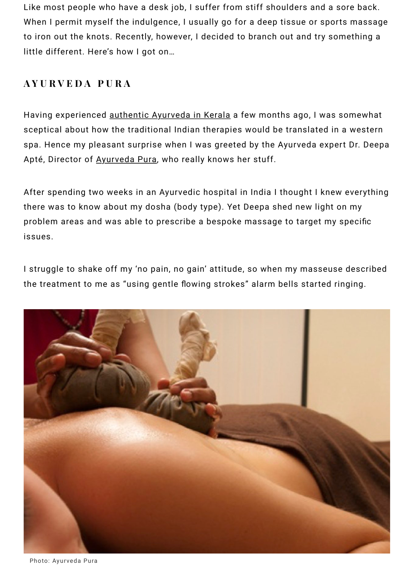Like most people who have a desk job, I suffer from stiff shoulders and a sore back. When I permit myself the indulgence, I usually go for a deep tissue or sports massage to iron out the knots. Recently, however, I decided to branch out and try something a little different. Here's how I got on…

### **AYURVEDA PURA**

Having experienced <u>authentic Ayurveda in Kerala</u> a few months ago, I was somewhat sceptical about how the traditional Indian therapies would be translated in a western spa. Hence my pleasant surprise when I was greeted by the Ayurveda expert Dr. Deepa Apté[,](https://www.ayurvedapura.com/) Director of <u>Ayurveda Pura</u>, who really knows her stuff.

After spending two weeks in an Ayurvedic hospital in India I thought I knew everything there was to know about my dosha (body type). Yet Deepa shed new light on my problem areas and was able to prescribe a bespoke massage to target my specific issues.

I struggle to shake off my 'no pain, no gain' attitude, so when my masseuse described the treatment to me as "using gentle flowing strokes" alarm bells started ringing.



Photo: Ayurveda Pura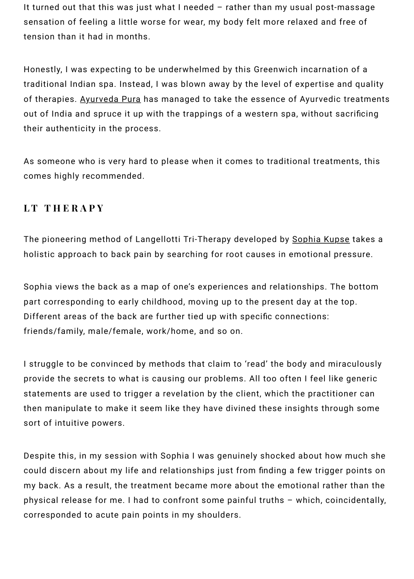It turned out that this was just what I needed – rather than my usual post-massage sensation of feeling a little worse for wear, my body felt more relaxed and free of tension than it had in months.

Honestly, I was expecting to be underwhelmed by this Greenwich incarnation of a traditional Indian spa. Instead, I was blown away by the level of expertise and quality of therapies. <u>Ayurveda Pura</u> has managed to take the essence of Ayurvedic treatments out of India and spruce it up with the trappings of a western spa, without sacrificing their authenticity in the process.

As someone who is very hard to please when it comes to traditional treatments, this comes highly recommended.

#### **LT THERAPY**

The pioneering method of Langellotti Tri-Therapy developed by <u>Sophia Kupse</u> takes a holistic approach to back pain by searching for root causes in emotional pressure.

Sophia views the back as a map of one's experiences and relationships. The bottom part corresponding to early childhood, moving up to the present day at the top. Different areas of the back are further tied up with specific connections: friends/family, male/female, work/home, and so on.

I struggle to be convinced by methods that claim to 'read' the body and miraculously provide the secrets to what is causing our problems. All too often I feel like generic statements are used to trigger a revelation by the client, which the practitioner can then manipulate to make it seem like they have divined these insights through some sort of intuitive powers.

Despite this, in my session with Sophia I was genuinely shocked about how much she could discern about my life and relationships just from finding a few trigger points on my back. As a result, the treatment became more about the emotional rather than the physical release for me. I had to confront some painful truths – which, coincidentally, corresponded to acute pain points in my shoulders.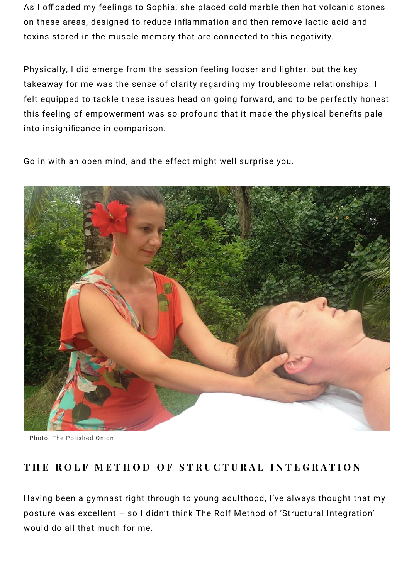As I offloaded my feelings to Sophia, she placed cold marble then hot volcanic stones on these areas, designed to reduce inflammation and then remove lactic acid and toxins stored in the muscle memory that are connected to this negativity.

Physically, I did emerge from the session feeling looser and lighter, but the key takeaway for me was the sense of clarity regarding my troublesome relationships. I felt equipped to tackle these issues head on going forward, and to be perfectly honest this feeling of empowerment was so profound that it made the physical benefits pale into insignificance in comparison.

Go in with an open mind, and the effect might well surprise you.



Photo: The Polished Onion

#### **THE ROLF METHOD OF STRUCTURAL INTEGRATION**

Having been a gymnast right through to young adulthood, I've always thought that my posture was excellent – so I didn't think The Rolf Method of 'Structural Integration' would do all that much for me.